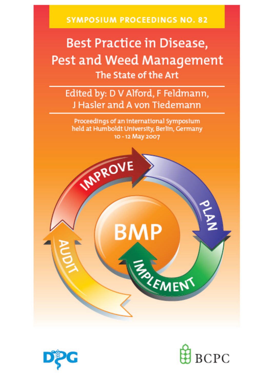**SYMPOSIUM PROCEEDINGS NO. 82** 

# **Best Practice in Disease,** Pest and Weed Management The State of the Art

Edited by: D V Alford, F Feldmann, J Hasler and A von Tiedemann

Proceedings of an international Symposium held at Humboldt University, Berlin, Germany 10 - 12 May 2007





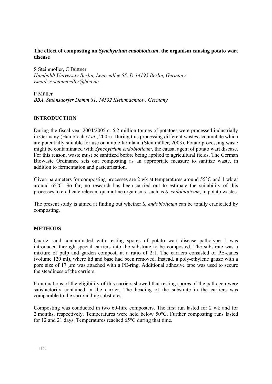## **The effect of composting on** *Synchytrium endobioticum***, the organism causing potato wart disease**

S Steinmöller, C Büttner *Humboldt University Berlin, Lentzeallee 55, D-14195 Berlin, Germany Email: s.steinmoeller@bba.de* 

P Müller *BBA, Stahnsdorfer Damm 81, 14532 Kleinmachnow, Germany* 

### **INTRODUCTION**

During the fiscal year 2004/2005 c. 6.2 million tonnes of potatoes were processed industrially in Germany (Hambloch *et al*., 2005). During this processing different wastes accumulate which are potentially suitable for use on arable farmland (Steinmöller, 2003). Potato processing waste might be contaminated with *Synchytrium endobioticum*, the causal agent of potato wart disease. For this reason, waste must be sanitized before being applied to agricultural fields. The German Biowaste Ordinance sets out composting as an appropriate measure to sanitize waste, in addition to fermentation and pasteurization.

Given parameters for composting processes are 2 wk at temperatures around 55°C and 1 wk at around 65°C. So far, no research has been carried out to estimate the suitability of this processes to eradicate relevant quarantine organisms, such as *S. endobioticum*, in potato wastes.

The present study is aimed at finding out whether *S. endobioticum* can be totally eradicated by composting.

### **METHODS**

Quartz sand contaminated with resting spores of potato wart disease pathotype 1 was introduced through special carriers into the substrate to be composted. The substrate was a mixture of pulp and garden compost, at a ratio of 2:1. The carriers consisted of PE-canes (volume 120 ml), where lid and base had been removed. Instead, a poly-ethylene gauze with a pore size of 17 µm was attached with a PE-ring. Additional adhesive tape was used to secure the steadiness of the carriers.

Examinations of the eligibility of this carriers showed that resting spores of the pathogen were satisfactorily contained in the carrier. The heading of the substrate in the carriers was comparable to the surrounding substrates.

Composting was conducted in two 60-litre composters. The first run lasted for 2 wk and for 2 months, respectively. Temperatures were held below 50°C. Further composting runs lasted for 12 and 21 days. Temperatures reached 65°C during that time.